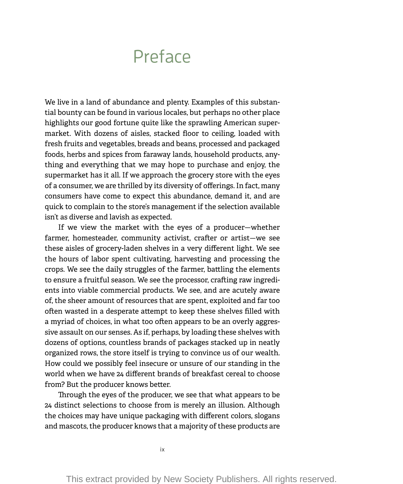# Preface

We live in a land of abundance and plenty. Examples of this substantial bounty can be found in various locales, but perhaps no other place highlights our good fortune quite like the sprawling American supermarket. With dozens of aisles, stacked floor to ceiling, loaded with fresh fruits and vegetables, breads and beans, processed and packaged foods, herbs and spices from faraway lands, household products, anything and everything that we may hope to purchase and enjoy, the supermarket has it all. If we approach the grocery store with the eyes of a consumer, we are thrilled by its diversity of offerings. In fact, many consumers have come to expect this abundance, demand it, and are quick to complain to the store's management if the selection available isn't as diverse and lavish as expected.

If we view the market with the eyes of a producer— whether farmer, homesteader, community activist, crafter or artist— we see these aisles of grocery-laden shelves in a very different light. We see the hours of labor spent cultivating, harvesting and processing the crops. We see the daily struggles of the farmer, battling the elements to ensure a fruitful season. We see the processor, crafting raw ingredients into viable commercial products. We see, and are acutely aware of, the sheer amount of resources that are spent, exploited and far too often wasted in a desperate attempt to keep these shelves filled with a myriad of choices, in what too often appears to be an overly aggressive assault on our senses. As if, perhaps, by loading these shelves with dozens of options, countless brands of packages stacked up in neatly organized rows, the store itself is trying to convince us of our wealth. How could we possibly feel insecure or unsure of our standing in the world when we have 24 different brands of breakfast cereal to choose from? But the producer knows better.

Through the eyes of the producer, we see that what appears to be 24 distinct selections to choose from is merely an illusion. Although the choices may have unique packaging with different colors, slogans and mascots, the producer knows that a majority of these products are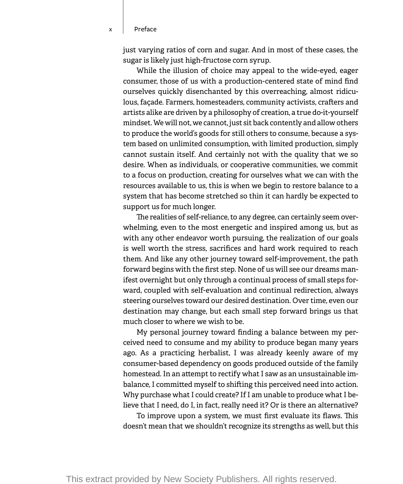x Preface

just varying ratios of corn and sugar. And in most of these cases, the sugar is likely just high-fructose corn syrup.

While the illusion of choice may appeal to the wide-eyed, eager consumer, those of us with a production-centered state of mind find ourselves quickly disenchanted by this overreaching, almost ridiculous, façade. Farmers, homesteaders, community activists, crafters and artists alike are driven by a philosophy of creation, a true do-it-yourself mindset. We will not, we cannot, just sit back contently and allow others to produce the world's goods for still others to consume, because a system based on unlimited consumption, with limited production, simply cannot sustain itself. And certainly not with the quality that we so desire. When as individuals, or cooperative communities, we commit to a focus on production, creating for ourselves what we can with the resources available to us, this is when we begin to restore balance to a system that has become stretched so thin it can hardly be expected to support us for much longer.

The realities of self-reliance, to any degree, can certainly seem overwhelming, even to the most energetic and inspired among us, but as with any other endeavor worth pursuing, the realization of our goals is well worth the stress, sacrifices and hard work required to reach them. And like any other journey toward self-improvement, the path forward begins with the first step. None of us will see our dreams manifest overnight but only through a continual process of small steps forward, coupled with self-evaluation and continual redirection, always steering ourselves toward our desired destination. Over time, even our destination may change, but each small step forward brings us that much closer to where we wish to be.

My personal journey toward finding a balance between my perceived need to consume and my ability to produce began many years ago. As a practicing herbalist, I was already keenly aware of my consumer-based dependency on goods produced outside of the family homestead. In an attempt to rectify what I saw as an unsustainable imbalance, I committed myself to shifting this perceived need into action. Why purchase what I could create? If I am unable to produce what I believe that I need, do I, in fact, really need it? Or is there an alternative?

To improve upon a system, we must first evaluate its flaws. This doesn't mean that we shouldn't recognize its strengths as well, but this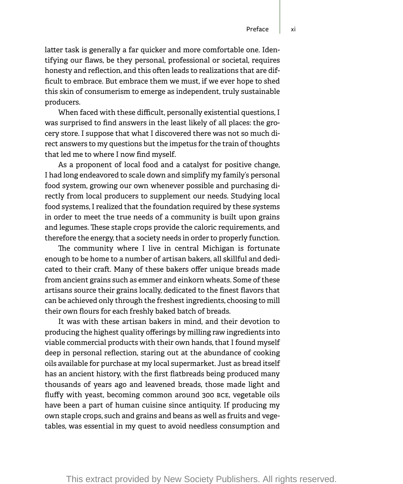latter task is generally a far quicker and more comfortable one. Identifying our flaws, be they personal, professional or societal, requires honesty and reflection, and this often leads to realizations that are difficult to embrace. But embrace them we must, if we ever hope to shed this skin of consumerism to emerge as independent, truly sustainable producers.

When faced with these difficult, personally existential questions, I was surprised to find answers in the least likely of all places: the grocery store. I suppose that what I discovered there was not so much direct answers to my questions but the impetus for the train of thoughts that led me to where I now find myself.

As a proponent of local food and a catalyst for positive change, I had long endeavored to scale down and simplify my family's personal food system, growing our own whenever possible and purchasing directly from local producers to supplement our needs. Studying local food systems, I realized that the foundation required by these systems in order to meet the true needs of a community is built upon grains and legumes. These staple crops provide the caloric requirements, and therefore the energy, that a society needs in order to properly function.

The community where I live in central Michigan is fortunate enough to be home to a number of artisan bakers, all skillful and dedicated to their craft. Many of these bakers offer unique breads made from ancient grains such as emmer and einkorn wheats. Some of these artisans source their grains locally, dedicated to the finest flavors that can be achieved only through the freshest ingredients, choosing to mill their own flours for each freshly baked batch of breads.

It was with these artisan bakers in mind, and their devotion to producing the highest quality offerings by milling raw ingredients into viable commercial products with their own hands, that I found myself deep in personal reflection, staring out at the abundance of cooking oils available for purchase at my local supermarket. Just as bread itself has an ancient history, with the first flatbreads being produced many thousands of years ago and leavened breads, those made light and fluffy with yeast, becoming common around 300 BCE, vegetable oils have been a part of human cuisine since antiquity. If producing my own staple crops, such and grains and beans as well as fruits and vegetables, was essential in my quest to avoid needless consumption and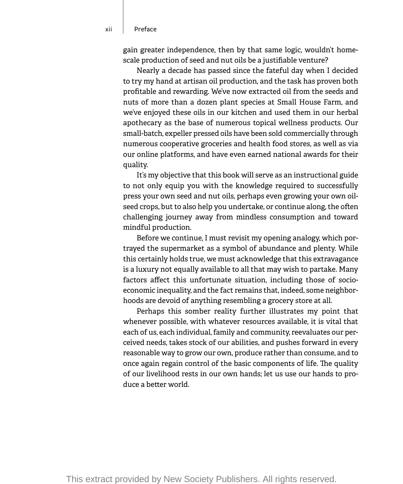gain greater independence, then by that same logic, wouldn't homescale production of seed and nut oils be a justifiable venture?

Nearly a decade has passed since the fateful day when I decided to try my hand at artisan oil production, and the task has proven both profitable and rewarding. We've now extracted oil from the seeds and nuts of more than a dozen plant species at Small House Farm, and we've enjoyed these oils in our kitchen and used them in our herbal apothecary as the base of numerous topical wellness products. Our small-batch, expeller pressed oils have been sold commercially through numerous cooperative groceries and health food stores, as well as via our online platforms, and have even earned national awards for their quality.

It's my objective that this book will serve as an instructional guide to not only equip you with the knowledge required to successfully press your own seed and nut oils, perhaps even growing your own oilseed crops, but to also help you undertake, or continue along, the often challenging journey away from mindless consumption and toward mindful production.

Before we continue, I must revisit my opening analogy, which portrayed the supermarket as a symbol of abundance and plenty. While this certainly holds true, we must acknowledge that this extravagance is a luxury not equally available to all that may wish to partake. Many factors affect this unfortunate situation, including those of socioeconomic inequality, and the fact remains that, indeed, some neighborhoods are devoid of anything resembling a grocery store at all.

Perhaps this somber reality further illustrates my point that whenever possible, with whatever resources available, it is vital that each of us, each individual, family and community, reevaluates our perceived needs, takes stock of our abilities, and pushes forward in every reasonable way to grow our own, produce rather than consume, and to once again regain control of the basic components of life. The quality of our livelihood rests in our own hands; let us use our hands to produce a better world.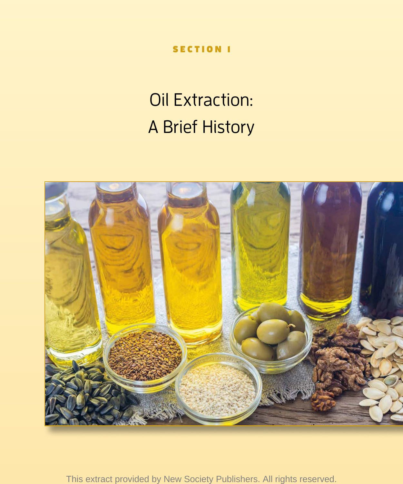SECTION 1

# Oil Extraction: A Brief History

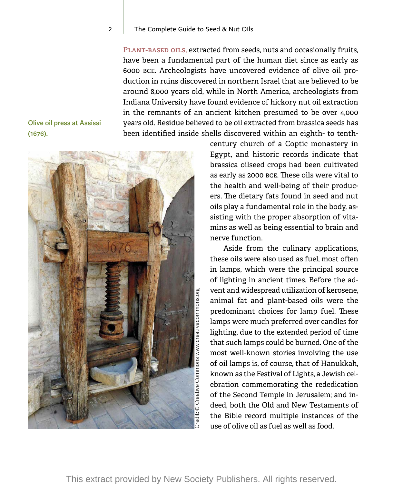#### 2 | The Complete Guide to Seed & Nut Olls

**Plant-based oils,** extracted from seeds, nuts and occasionally fruits, have been a fundamental part of the human diet since as early as 6000 BCE. Archeologists have uncovered evidence of olive oil production in ruins discovered in northern Israel that are believed to be around 8,000 years old, while in North America, archeologists from Indiana University have found evidence of hickory nut oil extraction in the remnants of an ancient kitchen presumed to be over 4,000 years old. Residue believed to be oil extracted from brassica seeds has been identified inside shells discovered within an eighth- to tenth-

**Olive oil press at Assissi (1676).**



century church of a Coptic monastery in Egypt, and historic records indicate that brassica oilseed crops had been cultivated as early as 2000 BCE. These oils were vital to the health and well-being of their producers. The dietary fats found in seed and nut oils play a fundamental role in the body, assisting with the proper absorption of vitamins as well as being essential to brain and nerve function.

Aside from the culinary applications, these oils were also used as fuel, most often in lamps, which were the principal source of lighting in ancient times. Before the advent and widespread utilization of kerosene, animal fat and plant-based oils were the predominant choices for lamp fuel. These lamps were much preferred over candles for lighting, due to the extended period of time that such lamps could be burned. One of the most well-known stories involving the use of oil lamps is, of course, that of Hanukkah, known as the Festival of Lights, a Jewish celebration commemorating the rededication of the Second Temple in Jerusalem; and indeed, both the Old and New Testaments of the Bible record multiple instances of the use of olive oil as fuel as well as food.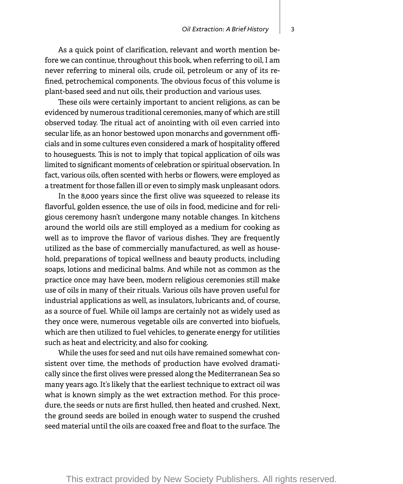As a quick point of clarification, relevant and worth mention before we can continue, throughout this book, when referring to oil, I am never referring to mineral oils, crude oil, petroleum or any of its refined, petrochemical components. The obvious focus of this volume is plant-based seed and nut oils, their production and various uses.

These oils were certainly important to ancient religions, as can be evidenced by numerous traditional ceremonies, many of which are still observed today. The ritual act of anointing with oil even carried into secular life, as an honor bestowed upon monarchs and government officials and in some cultures even considered a mark of hospitality offered to houseguests. This is not to imply that topical application of oils was limited to significant moments of celebration or spiritual observation. In fact, various oils, often scented with herbs or flowers, were employed as a treatment for those fallen ill or even to simply mask unpleasant odors.

In the 8,000 years since the first olive was squeezed to release its flavorful, golden essence, the use of oils in food, medicine and for religious ceremony hasn't undergone many notable changes. In kitchens around the world oils are still employed as a medium for cooking as well as to improve the flavor of various dishes. They are frequently utilized as the base of commercially manufactured, as well as household, preparations of topical wellness and beauty products, including soaps, lotions and medicinal balms. And while not as common as the practice once may have been, modern religious ceremonies still make use of oils in many of their rituals. Various oils have proven useful for industrial applications as well, as insulators, lubricants and, of course, as a source of fuel. While oil lamps are certainly not as widely used as they once were, numerous vegetable oils are converted into biofuels, which are then utilized to fuel vehicles, to generate energy for utilities such as heat and electricity, and also for cooking.

While the uses for seed and nut oils have remained somewhat consistent over time, the methods of production have evolved dramatically since the first olives were pressed along the Mediterranean Sea so many years ago. It's likely that the earliest technique to extract oil was what is known simply as the wet extraction method. For this procedure, the seeds or nuts are first hulled, then heated and crushed. Next, the ground seeds are boiled in enough water to suspend the crushed seed material until the oils are coaxed free and float to the surface. The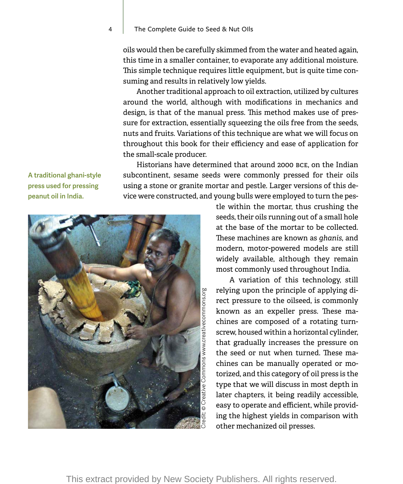## 4 | The Complete Guide to Seed & Nut Olls

oils would then be carefully skimmed from the water and heated again, this time in a smaller container, to evaporate any additional moisture. This simple technique requires little equipment, but is quite time consuming and results in relatively low yields.

Another traditional approach to oil extraction, utilized by cultures around the world, although with modifications in mechanics and design, is that of the manual press. This method makes use of pressure for extraction, essentially squeezing the oils free from the seeds, nuts and fruits. Variations of this technique are what we will focus on throughout this book for their efficiency and ease of application for the small-scale producer.

Historians have determined that around 2000 BCE, on the Indian subcontinent, sesame seeds were commonly pressed for their oils using a stone or granite mortar and pestle. Larger versions of this device were constructed, and young bulls were employed to turn the pes-

**A traditional ghani-style press used for pressing peanut oil in India.**



tle within the mortar, thus crushing the seeds, their oils running out of a small hole at the base of the mortar to be collected. These machines are known as *ghanis,* and modern, motor-powered models are still widely available, although they remain most commonly used throughout India.

A variation of this technology, still relying upon the principle of applying direct pressure to the oilseed, is commonly known as an expeller press. These machines are composed of a rotating turnscrew, housed within a horizontal cylinder, that gradually increases the pressure on the seed or nut when turned. These machines can be manually operated or motorized, and this category of oil press is the type that we will discuss in most depth in later chapters, it being readily accessible, easy to operate and efficient, while providing the highest yields in comparison with other mechanized oil presses.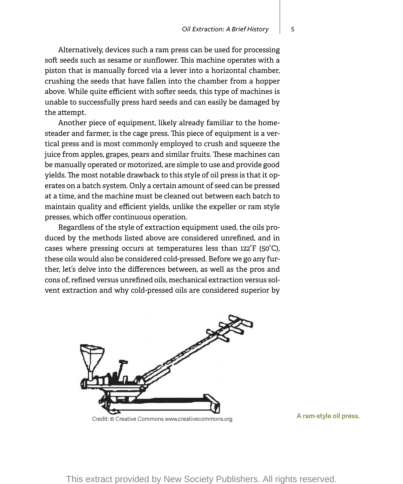Alternatively, devices such a ram press can be used for processing soft seeds such as sesame or sunflower. This machine operates with a piston that is manually forced via a lever into a horizontal chamber, crushing the seeds that have fallen into the chamber from a hopper above. While quite efficient with softer seeds, this type of machines is unable to successfully press hard seeds and can easily be damaged by the attempt.

Another piece of equipment, likely already familiar to the homesteader and farmer, is the cage press. This piece of equipment is a vertical press and is most commonly employed to crush and squeeze the juice from apples, grapes, pears and similar fruits. These machines can be manually operated or motorized, are simple to use and provide good yields. The most notable drawback to this style of oil press is that it operates on a batch system. Only a certain amount of seed can be pressed at a time, and the machine must be cleaned out between each batch to maintain quality and efficient yields, unlike the expeller or ram style presses, which offer continuous operation.

Regardless of the style of extraction equipment used, the oils produced by the methods listed above are considered unrefined, and in cases where pressing occurs at temperatures less than 122°F (50°C), these oils would also be considered cold-pressed. Before we go any further, let's delve into the differences between, as well as the pros and cons of, refined versus unrefined oils, mechanical extraction versus solvent extraction and why cold-pressed oils are considered superior by

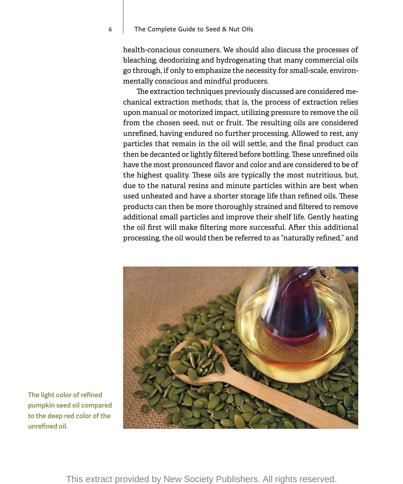## 6 The Complete Guide to Seed & Nut OIls

health-conscious consumers. We should also discuss the processes of bleaching, deodorizing and hydrogenating that many commercial oils go through, if only to emphasize the necessity for small-scale, environmentally conscious and mindful producers.

The extraction techniques previously discussed are considered mechanical extraction methods; that is, the process of extraction relies upon manual or motorized impact, utilizing pressure to remove the oil from the chosen seed, nut or fruit. The resulting oils are considered unrefined, having endured no further processing. Allowed to rest, any particles that remain in the oil will settle, and the final product can then be decanted or lightly filtered before bottling. These unrefined oils have the most pronounced flavor and color and are considered to be of the highest quality. These oils are typically the most nutritious, but, due to the natural resins and minute particles within are best when used unheated and have a shorter storage life than refined oils. These products can then be more thoroughly strained and filtered to remove additional small particles and improve their shelf life. Gently heating the oil first will make filtering more successful. After this additional processing, the oil would then be referred to as "naturally refined," and



**The light color of refined pumpkin seed oil compared to the deep red color of the unrefined oil.**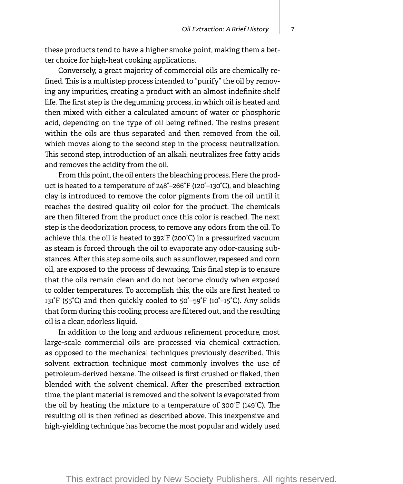these products tend to have a higher smoke point, making them a better choice for high-heat cooking applications.

Conversely, a great majority of commercial oils are chemically refined. This is a multistep process intended to "purify" the oil by removing any impurities, creating a product with an almost indefinite shelf life. The first step is the degumming process, in which oil is heated and then mixed with either a calculated amount of water or phosphoric acid, depending on the type of oil being refined. The resins present within the oils are thus separated and then removed from the oil, which moves along to the second step in the process: neutralization. This second step, introduction of an alkali, neutralizes free fatty acids and removes the acidity from the oil.

From this point, the oil enters the bleaching process. Here the product is heated to a temperature of 248°–266°F (120°–130°C), and bleaching clay is introduced to remove the color pigments from the oil until it reaches the desired quality oil color for the product. The chemicals are then filtered from the product once this color is reached. The next step is the deodorization process, to remove any odors from the oil. To achieve this, the oil is heated to 392°F (200°C) in a pressurized vacuum as steam is forced through the oil to evaporate any odor-causing substances. After this step some oils, such as sunflower, rapeseed and corn oil, are exposed to the process of dewaxing. This final step is to ensure that the oils remain clean and do not become cloudy when exposed to colder temperatures. To accomplish this, the oils are first heated to 131°F (55°C) and then quickly cooled to 50°–59°F (10°–15°C). Any solids that form during this cooling process are filtered out, and the resulting oil is a clear, odorless liquid.

In addition to the long and arduous refinement procedure, most large-scale commercial oils are processed via chemical extraction, as opposed to the mechanical techniques previously described. This solvent extraction technique most commonly involves the use of petroleum-derived hexane. The oilseed is first crushed or flaked, then blended with the solvent chemical. After the prescribed extraction time, the plant material is removed and the solvent is evaporated from the oil by heating the mixture to a temperature of 300°F (149°C). The resulting oil is then refined as described above. This inexpensive and high-yielding technique has become the most popular and widely used